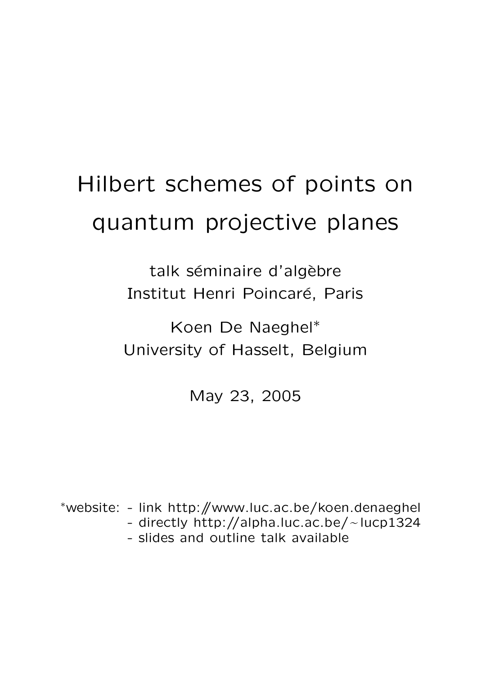# Hilbert schemes of points on quantum projective planes

talk séminaire d'algèbre Institut Henri Poincaré, Paris

Koen De Naeghel∗ University of Hasselt, Belgium

May 23, 2005

<sup>∗</sup>website: - link http://www.luc.ac.be/koen.denaeghel - directly http://alpha.luc.ac.be/~lucp1324<br>- slides and outline talk available - slides and outline talk available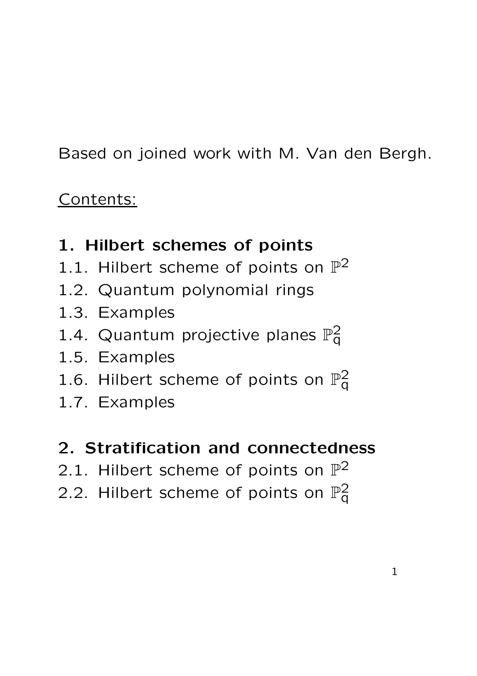Based on joined work with M. Van den Bergh.

## Contents:

## 1. Hilbert schemes of points

- 1.1. Hilbert scheme of points on  $\mathbb{P}^2$
- 1.2. Quantum polynomial rings
- 1.3. Examples
- 1.4. Quantum projective planes  $\mathbb{P}^2_q$  $\bar{\mathsf q}$
- 1.5. Examples
- 1.6. Hilbert scheme of points on  $\mathbb{P}^2_q$  $\bar{\mathsf{q}}$
- 1.7. Examples

### 2. Stratification and connectedness

- 2.1. Hilbert scheme of points on  $\mathbb{P}^2$
- 2.2. Hilbert scheme of points on  $\mathbb{P}^2_{\mathsf{G}}$  $\bar{\mathsf{q}}$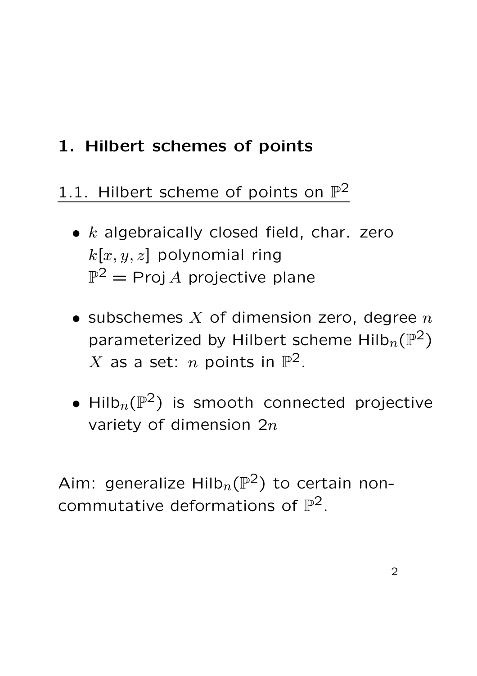## 1. Hilbert schemes of points

## 1.1. Hilbert scheme of points on  $\mathbb{P}^2$

- $\bullet$  k algebraically closed field, char. zero  $k[x, y, z]$  polynomial ring  $\mathbb{P}^2 = \operatorname{\mathsf{Proj}}\nolimits A$  projective plane
- subschemes  $X$  of dimension zero, degree  $n$ parameterized by Hilbert scheme Hilb $_n(\mathbb{P}^2)$  $X$  as a set:  $n$  points in  $\mathbb{P}^2.$
- $\bullet$  Hilb $_n(\mathbb{P}^2)$  is smooth connected projective variety of dimension  $2n$

Aim: generalize Hilb $_n(\mathbb{P}^2)$  to certain noncommutative deformations of  $\mathbb{P}^2$ .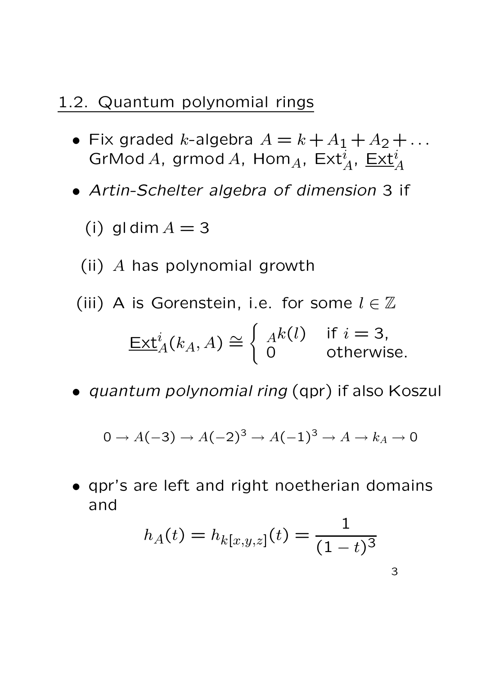#### 1.2. Quantum polynomial rings

- Fix graded k-algebra  $A = k + A_1 + A_2 + ...$  $\operatorname{\sf GrMod}\nolimits A$ , grmod $A$ , Hom $_A$ , Ex $\operatorname{t}_A^i$ , <u>Ext $_A^i$ </u>
- Artin-Schelter algebra of dimension 3 if
	- (i) gl dim  $A = 3$

(ii) A has polynomial growth

- (iii) A is Gorenstein, i.e. for some  $l \in \mathbb{Z}$  $\underline{\mathsf{Ext}}^i_A(k_A,A)\cong$  $\int Ak(l)$  if  $i = 3$ , 0 otherwise.
- quantum polynomial ring (qpr) if also Koszul

$$
0 \to A(-3) \to A(-2)^3 \to A(-1)^3 \to A \to k_A \to 0
$$

• qpr's are left and right noetherian domains and

$$
h_A(t) = h_{k[x,y,z]}(t) = \frac{1}{(1-t)^3}
$$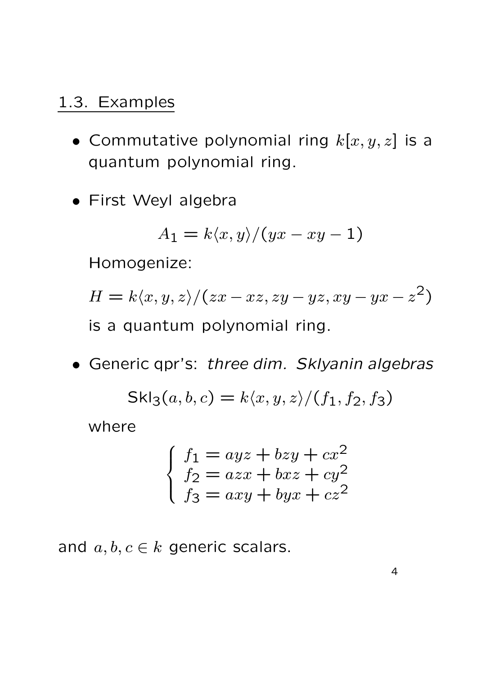#### 1.3. Examples

- Commutative polynomial ring  $k[x, y, z]$  is a quantum polynomial ring.
- First Weyl algebra

$$
A_1 = k \langle x, y \rangle / (yx - xy - 1)
$$

Homogenize:

$$
H = k \langle x, y, z \rangle / (zx - xz, zy - yz, xy - yx - z2)
$$
  
is a quantum polynomial ring.

• Generic qpr's: three dim. Sklyanin algebras

$$
Skl_3(a, b, c) = k\langle x, y, z \rangle / (f_1, f_2, f_3)
$$

where

$$
\begin{cases}\nf_1 = ayz + bzy + cx^2 \\
f_2 = azx + bxz + cy^2 \\
f_3 = axy + byx + cz^2\n\end{cases}
$$

and  $a, b, c \in k$  generic scalars.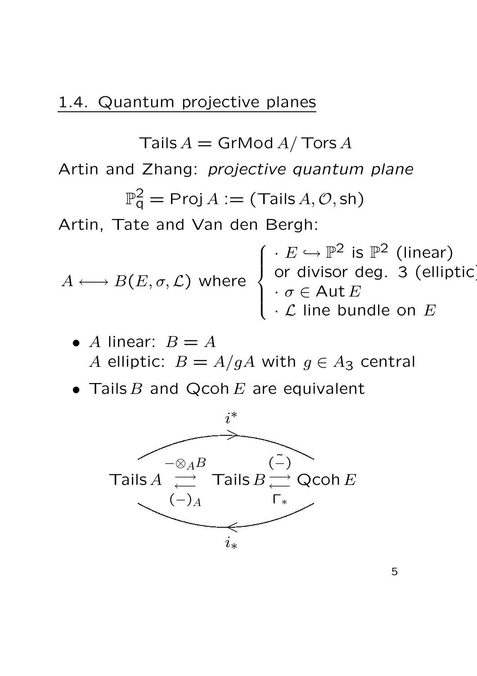#### 1.4. Quantum projective planes

Tails  $A =$  GrMod  $A /$  Tors  $A$ 

Artin and Zhang: projective quantum plane

$$
\mathbb{P}^2_{\mathsf{q}} = \mathsf{Proj}\, A := (\mathsf{Tails}\, A, \mathcal{O}, \mathsf{sh})
$$

Artin, Tate and Van den Bergh:

$$
A \longleftrightarrow B(E, \sigma, \mathcal{L}) \text{ where } \begin{cases} \cdot E \hookrightarrow \mathbb{P}^2 \text{ is } \mathbb{P}^2 \text{ (linear)} \\ \text{ or divisor deg. 3 (elliptic)} \\ \cdot \sigma \in \text{Aut } E \\ \cdot \mathcal{L} \text{ line bundle on } E \end{cases}
$$

\n- A linear: 
$$
B = A
$$
  $A$  elliptic:  $B = A/gA$  with  $g \in A_3$  central
\n

• Tails  $B$  and Qcoh  $E$  are equivalent

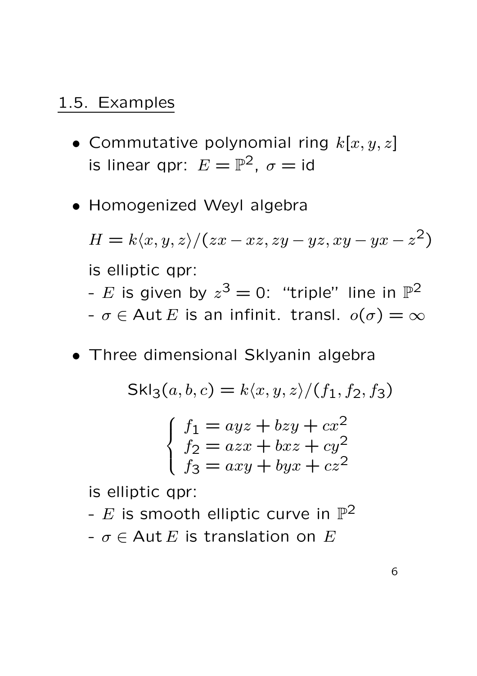#### 1.5. Examples

- Commutative polynomial ring  $k[x, y, z]$ is linear qpr:  $E = \mathbb{P}^2$ ,  $\sigma = \text{id}$
- Homogenized Weyl algebra

$$
H = k \langle x, y, z \rangle / (zx - xz, zy - yz, xy - yx - z2)
$$
  
is elliptic qpr:  
- E is given by  $z3 = 0$ : "triple" line in  $\mathbb{P}^{2}$ 

- $-\sigma \in$  Aut E is an infinit. transl.  $o(\sigma) = \infty$
- Three dimensional Sklyanin algebra

$$
Skl_3(a, b, c) = k\langle x, y, z \rangle / (f_1, f_2, f_3)
$$

$$
\begin{cases} f_1 = ayz + bzy + cx^2 \\ f_2 = azx + bxz + cy^2 \\ f_3 = axy + byx + cz^2 \end{cases}
$$

is elliptic qpr:

-  $E$  is smooth elliptic curve in  $\mathbb{P}^2$  $- \sigma \in$  Aut E is translation on E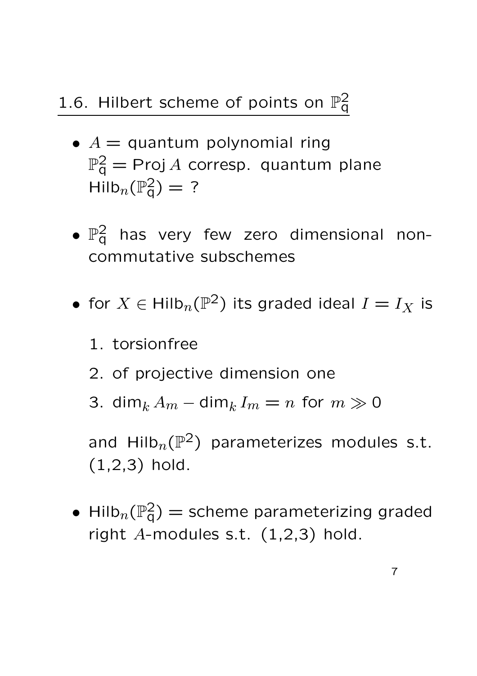#### 1.6. Hilbert scheme of points on  $\mathbb{P}^2_q$  $\bar{\mathsf{q}}$

- $A =$  quantum polynomial ring  $\mathbb{P}^2_{\mathsf{q}} = \mathsf{Proj}\, A$  corresp. quantum plane  $\mathsf{Hilb}_n(\mathbb{P}^2_q) = ?$
- $\bullet$   $\mathbb{P}^2_q$  has very few zero dimensional noncommutative subschemes
- for  $X \in \mathsf{Hilb}_n(\mathbb{P}^2)$  its graded ideal  $I = I_X$  is
	- 1. torsionfree
	- 2. of projective dimension one
	- 3. dim<sub>k</sub>  $A_m$  dim<sub>k</sub>  $I_m = n$  for  $m \gg 0$

and Hilb $_n(\mathbb{P}^2)$  parameterizes modules s.t. (1,2,3) hold.

• Hilb $_n(\mathbb{P}^2_q) =$  scheme parameterizing graded right  $A$ -modules s.t.  $(1,2,3)$  hold.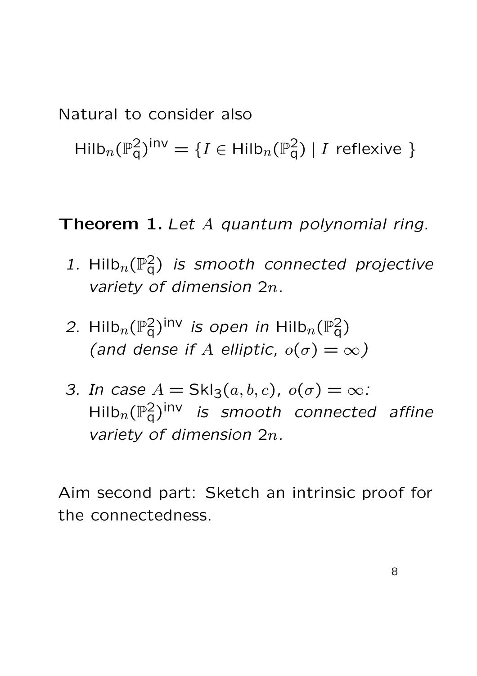Natural to consider also

 $\mathsf{Hilb}_n(\mathbb{P}^2_q)^{\mathsf{inv}} = \{I \in \mathsf{Hilb}_n(\mathbb{P}^2_q) \mid I \text{ reflexive }\}$ 

Theorem 1. Let A quantum polynomial ring.

- 1. Hilb $_n(\mathbb{P}^2_q)$  is smooth connected projective variety of dimension 2n.
- 2. Hilb $_n(\mathbb{P}^2_{\mathsf{q}})$ <sup>inv</sup> is open in Hilb $_n(\mathbb{P}^2_{\mathsf{q}})$ (and dense if A elliptic,  $o(\sigma) = \infty$ )
- 3. In case  $A = Skl_3(a, b, c)$ ,  $o(\sigma) = \infty$ :  $\mathsf{Hilb}_n(\mathbb{P}^2_\mathsf{q})^\mathsf{inv}$  is smooth connected affine variety of dimension 2n.

Aim second part: Sketch an intrinsic proof for the connectedness.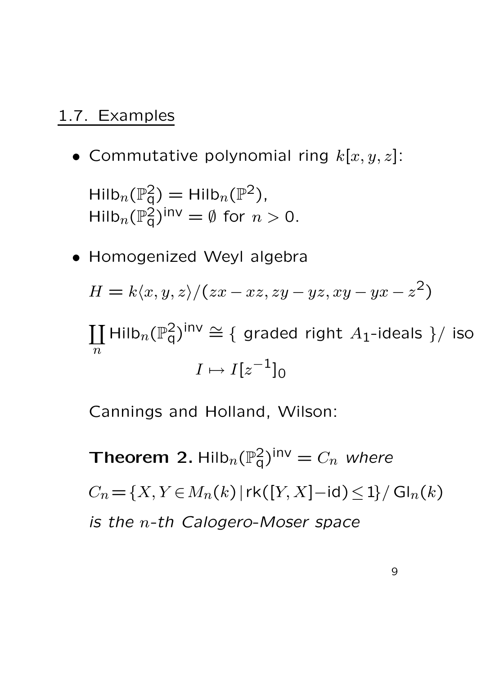#### 1.7. Examples

• Commutative polynomial ring  $k[x, y, z]$ :

 $\mathsf{Hilb}_n(\mathbb{P}^2_q) = \mathsf{Hilb}_n(\mathbb{P}^2)$ ,  $\mathsf{Hilb}_n(\mathbb{P}^2_q)^{\mathsf{inv}} = \emptyset$  for  $n > 0$ .

• Homogenized Weyl algebra

$$
H = k \langle x, y, z \rangle / (zx - xz, zy - yz, xy - yx - z2)
$$

 $\overline{1}$  $\overline{n}$  $\mathsf{Hilb}_n(\mathbb{P}^2_q)^{\mathsf{inv}} \cong \{$  graded right  $A_1$ -ideals  $\}/$  iso  $I \mapsto I[z^{-1}]_0$ 

Cannings and Holland, Wilson:

Theorem 2. Hilb $_n(\mathbb P^2_{\mathrm{q}})^{\mathsf{inv}}=C_n$  where  $C_n = \{X, Y \in M_n(k) | r k([Y, X] - id) \le 1\} / G l_n(k)$ is the n-th Calogero-Moser space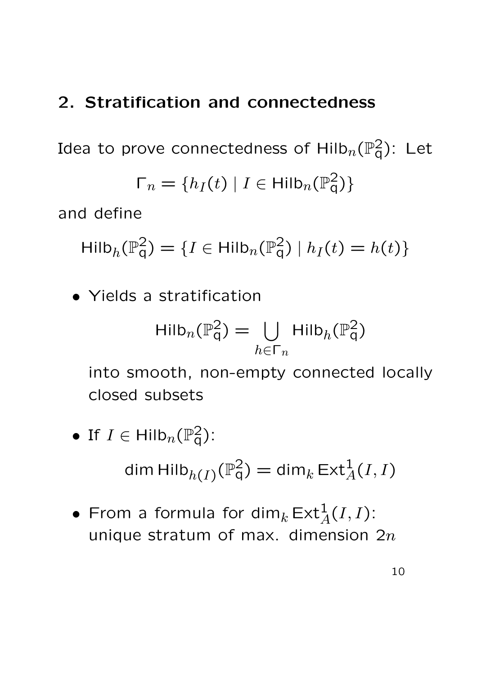### 2. Stratification and connectedness

Idea to prove connectedness of  $\mathsf{Hilb}_n(\mathbb{P}^2_\mathsf{q})$ : Let

$$
\Gamma_n = \{ h_I(t) \mid I \in \mathsf{Hilb}_n(\mathbb{P}_q^2) \}
$$

and define

$$
\mathsf{Hilb}_{h}(\mathbb{P}_{q}^{2}) = \{ I \in \mathsf{Hilb}_{n}(\mathbb{P}_{q}^{2}) \mid h_{I}(t) = h(t) \}
$$

• Yields a stratification

$$
\mathrm{Hilb}_n(\mathbb{P}_q^2) = \bigcup_{h \in \Gamma_n} \mathrm{Hilb}_h(\mathbb{P}_q^2)
$$

into smooth, non-empty connected locally closed subsets

• If 
$$
I \in Hilb_n(\mathbb{P}_q^2)
$$
:

$$
\dim \operatorname{Hilb}_{h(I)}(\mathbb{P}^2_q) = \dim_k \operatorname{Ext}^1_A(I, I)
$$

• From a formula for dim $_k \operatorname{\mathsf{Ext}}^1_A(I,I)$ : unique stratum of max. dimension  $2n$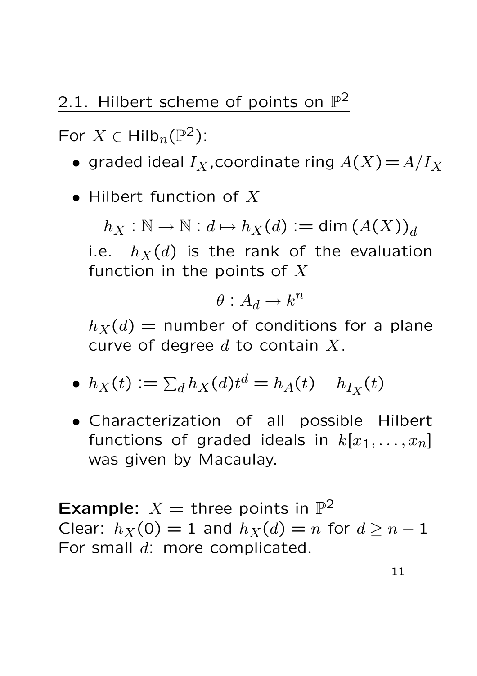## 2.1. Hilbert scheme of points on  $\mathbb{P}^2$

For  $X \in \mathsf{Hilb}_n(\mathbb{P}^2)$ :

- graded ideal  $I_X$ , coordinate ring  $A(X)=A/I_X$
- $\bullet$  Hilbert function of  $X$

 $h_X : \mathbb{N} \to \mathbb{N} : d \mapsto h_X(d) := \dim (A(X))_d$ i.e.  $h_X(d)$  is the rank of the evaluation function in the points of  $X$ 

$$
\theta: A_d \to k^n
$$

 $h_X(d)$  = number of conditions for a plane curve of degree  $d$  to contain  $X$ .

$$
\bullet \ \ h_X(t) := \sum_d h_X(d)t^d = h_A(t) - h_{I_X}(t)
$$

• Characterization of all possible Hilbert functions of graded ideals in  $k[x_1, \ldots, x_n]$ was given by Macaulay.

**Example:**  $X =$  three points in  $\mathbb{P}^2$ Clear:  $h_X(0) = 1$  and  $h_X(d) = n$  for  $d \geq n - 1$ For small d: more complicated.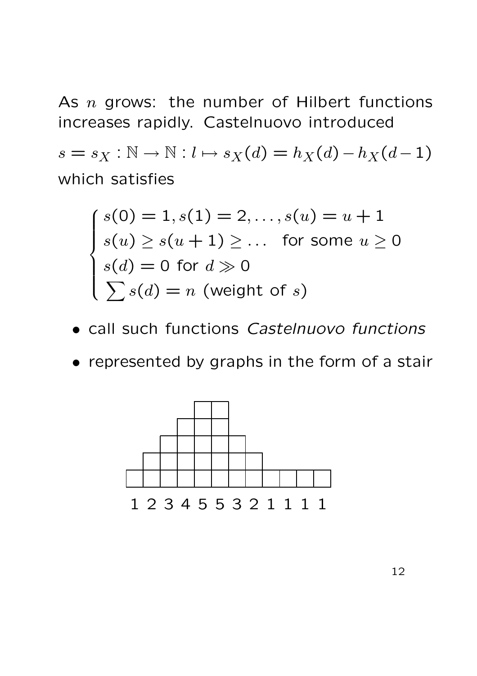As  $n$  grows: the number of Hilbert functions increases rapidly. Castelnuovo introduced

 $s = s_X : \mathbb{N} \to \mathbb{N} : l \mapsto s_X(d) = h_X(d) - h_X(d-1)$ which satisfies

$$
\begin{cases}\ns(0) = 1, s(1) = 2, \dots, s(u) = u + 1 \\
s(u) \ge s(u + 1) \ge \dots \text{ for some } u \ge 0 \\
s(d) = 0 \text{ for } d \gg 0 \\
\sum s(d) = n \text{ (weight of } s)\n\end{cases}
$$

- call such functions Castelnuovo functions
- represented by graphs in the form of a stair

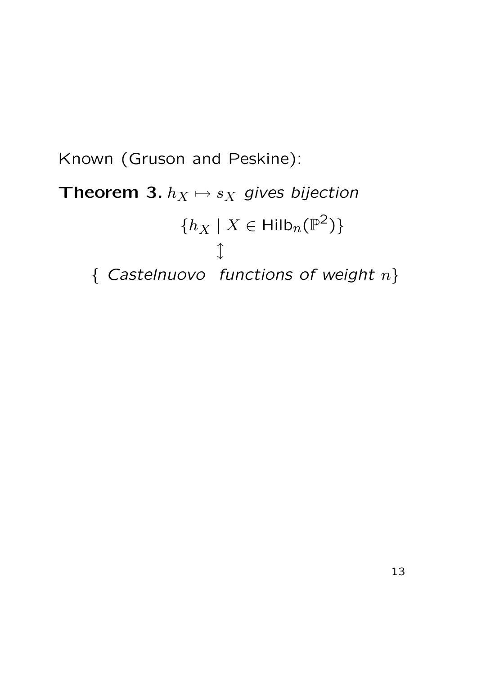## Known (Gruson and Peskine): Theorem 3.  $h_X \mapsto s_X$  gives bijection  $\{h_X \mid X \in \mathsf{Hilb}_n(\mathbb{P}^2)\}$ l { Castelnuovo functions of weight  $n$ }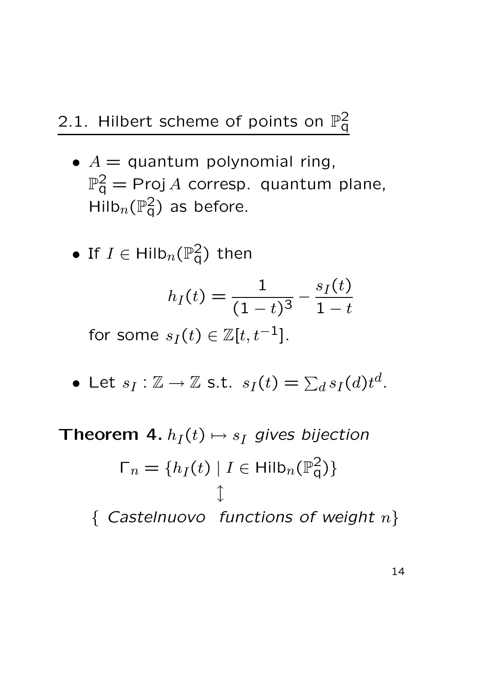- $A =$  quantum polynomial ring,  $\mathbb{P}^2_{\mathsf{q}} = \mathsf{Proj}\, A$  corresp. quantum plane,  $\mathsf{Hilb}_n(\mathbb{P}^2_q)$  as before.
- $\bullet\,$  If  $\,I\in\mathsf{Hilb}_n(\mathbb{P}^2_{\mathsf{q}})\,$  then

$$
h_I(t) = \frac{1}{(1-t)^3} - \frac{s_I(t)}{1-t}
$$

for some  $s_I(t) \in \mathbb{Z}[t, t^{-1}].$ 

 $\bullet$  Let  $s_I: \mathbb{Z} \to \mathbb{Z}$  s.t.  $s_I(t) = \sum_d s_I(d) t^d$ .

Theorem 4.  $h_I(t) \mapsto s_I$  gives bijection

$$
\Gamma_n = \{ h_I(t) \mid I \in \text{Hilb}_n(\mathbb{P}_q^2) \}
$$
  
\n{ Castelnuovo functions of weight n}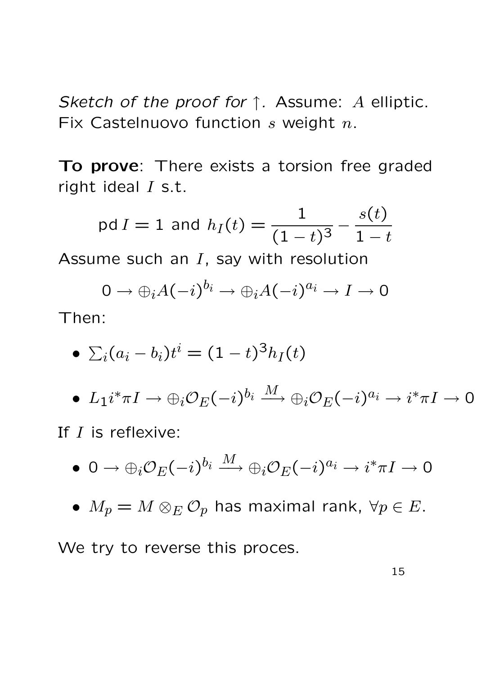Sketch of the proof for  $\uparrow$ . Assume: A elliptic. Fix Castelnuovo function  $s$  weight  $n$ .

To prove: There exists a torsion free graded right ideal  $I$  s.t.

$$
\text{pd } I = 1 \text{ and } h_I(t) = \frac{1}{(1-t)^3} - \frac{s(t)}{1-t}
$$

Assume such an  $I$ , say with resolution

$$
0 \to \bigoplus_i A(-i)^{b_i} \to \bigoplus_i A(-i)^{a_i} \to I \to 0
$$

Then:

$$
\bullet \ \Sigma_i (a_i - b_i)t^i = (1-t)^3 h_I(t)
$$

$$
\bullet\ \ L_1i^*\pi I \to \oplus_i{\mathcal O}_E(-i)^{b_i} \stackrel{M}{\longrightarrow} \oplus_i{\mathcal O}_E(-i)^{a_i} \to i^*\pi I \to 0
$$

If I is reflexive:

$$
\bullet\;\;0\rightarrow \oplus_i{\mathcal O}_E(-i)^{b_i}\stackrel{M}{\longrightarrow} \oplus_i{\mathcal O}_E(-i)^{a_i}\rightarrow i^*\pi I\rightarrow 0
$$

•  $M_p = M \otimes_E \mathcal{O}_p$  has maximal rank,  $\forall p \in E$ .

We try to reverse this proces.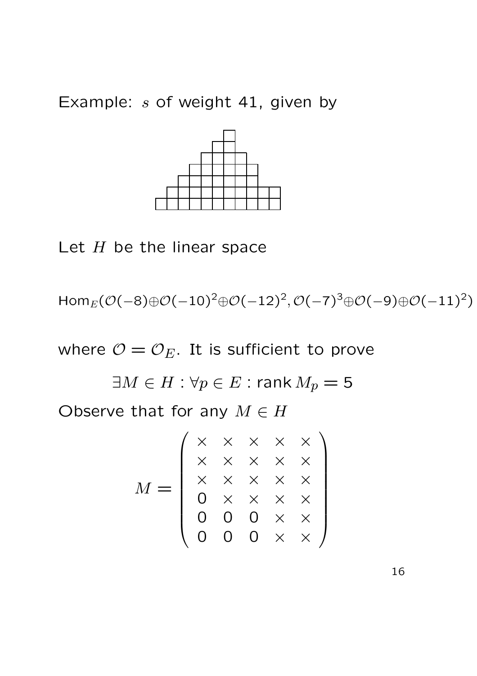Example:  $s$  of weight 41, given by



Let  $H$  be the linear space

 $\mathsf{Hom}_E(\mathcal{O}(-8) \oplus \mathcal{O}(-10)^2 \oplus \mathcal{O}(-12)^2, \mathcal{O}(-7)^3 \oplus \mathcal{O}(-9) \oplus \mathcal{O}(-11)^2)$ 

where  $\mathcal{O} = \mathcal{O}_E$ . It is sufficient to prove

 $\exists M \in H : \forall p \in E : \text{rank } M_p = 5$ Observe that for any  $M \in H$ 

$$
M = \left(\begin{array}{cccc} \times & \times & \times & \times & \times \\ \times & \times & \times & \times & \times \\ \times & \times & \times & \times & \times \\ 0 & \times & \times & \times & \times \\ 0 & 0 & 0 & \times & \times \\ 0 & 0 & 0 & \times & \times \end{array}\right)
$$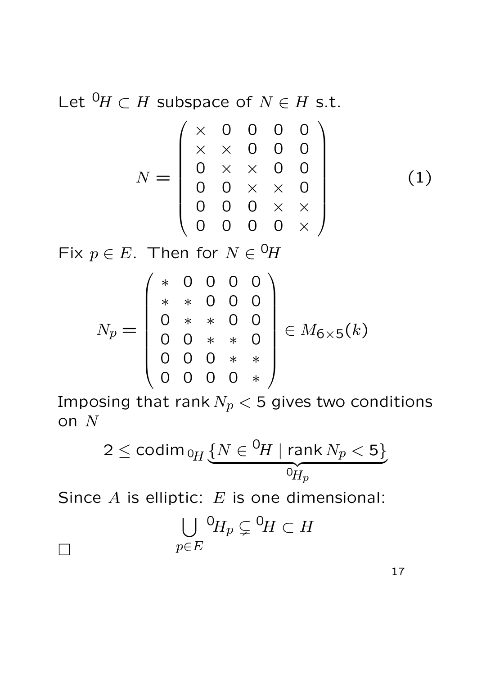Let  ${}^{0}\!H \subset H$  subspace of  $N \in H$  s.t.

$$
N = \left(\begin{array}{cccc} \times & 0 & 0 & 0 & 0 \\ \times & \times & 0 & 0 & 0 \\ 0 & \times & \times & 0 & 0 \\ 0 & 0 & \times & \times & 0 \\ 0 & 0 & 0 & \times & \times \\ 0 & 0 & 0 & 0 & \times \end{array}\right) (1)
$$

Fix  $p \in E$ . Then for  $N \in {}^{0}\!H$ 

 $\Box$ 

$$
N_p = \left(\begin{array}{cccc} * & 0 & 0 & 0 & 0 \\ * & * & 0 & 0 & 0 \\ 0 & * & * & 0 & 0 \\ 0 & 0 & * & * & 0 \\ 0 & 0 & 0 & * & * \\ 0 & 0 & 0 & 0 & * \end{array}\right) \in M_{6 \times 5}(k)
$$

Imposing that rank  $N_p < 5$  gives two conditions on N

$$
2 \leq \operatorname{codim}_{\,0_H} \underbrace{\{N \in {}^0\!H \mid \operatorname{rank} N_p < 5\}}_{0_{\!H_p}}
$$

Since  $A$  is elliptic:  $E$  is one dimensional:

$$
\bigcup_{p\in E} {}^{0}\!H_p \subsetneq {}^{0}\!H \subset H
$$